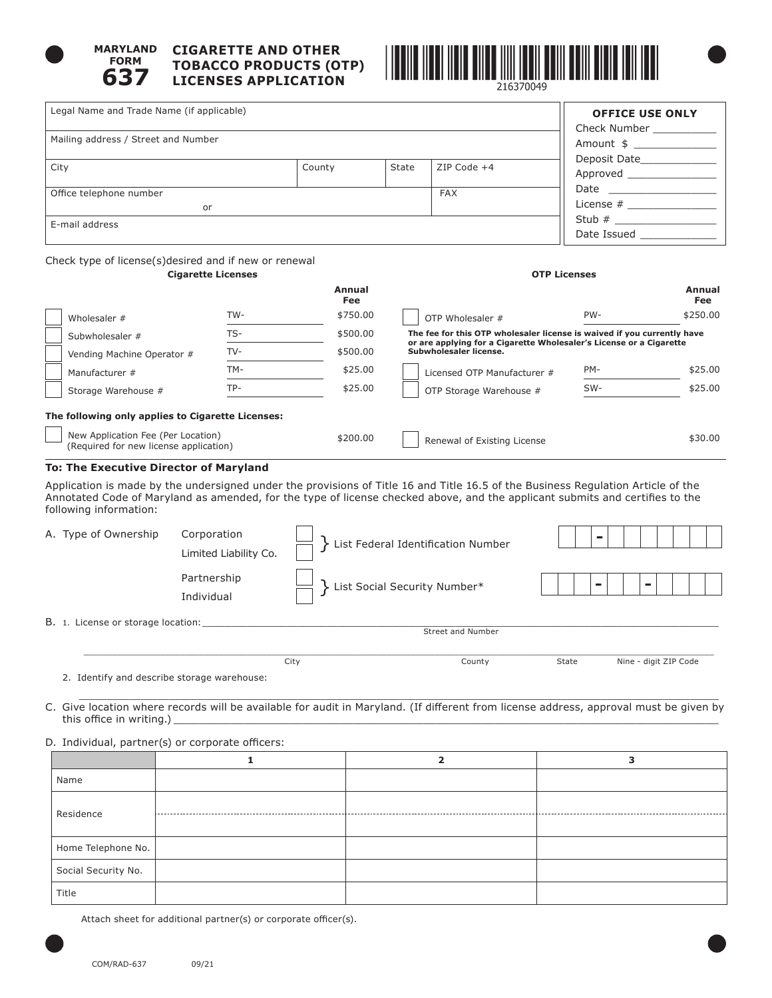

#### **MARYLAND FORM 637 CIGARETTE AND OTHER TOBACCO PRODUCTS (OTP) LICENSES APPLICATION**



| Legal Name and Trade Name (if applicable)             |                           |                      |       |                   | <b>OFFICE USE ONLY</b><br>Check Number      |
|-------------------------------------------------------|---------------------------|----------------------|-------|-------------------|---------------------------------------------|
| Mailing address / Street and Number                   |                           |                      |       |                   | Amount \$                                   |
| City                                                  |                           | County               | State | ZIP Code +4       | Deposit Date<br>Approved                    |
| <b>FAX</b><br>Office telephone number                 |                           |                      |       | Date ____________ |                                             |
|                                                       | or                        |                      |       |                   | License $#$                                 |
| E-mail address                                        |                           |                      |       |                   | Stub $#$<br>Date Issued and the Date Issued |
| Check type of license(s)desired and if new or renewal | <b>Cigarette Licenses</b> |                      |       |                   | <b>OTP Licenses</b>                         |
|                                                       |                           |                      |       |                   |                                             |
|                                                       |                           | Annual<br><b>Fee</b> |       |                   | Annual<br><b>Fee</b>                        |
| Wholesaler #                                          | TW-                       | \$750.00             |       | OTP Wholesaler #  | PW-<br>\$250.00                             |

|                                                                              |       | 1 cc     |                                                                                                                                                |     | .        |
|------------------------------------------------------------------------------|-------|----------|------------------------------------------------------------------------------------------------------------------------------------------------|-----|----------|
| Wholesaler #                                                                 | TW-   | \$750.00 | OTP Wholesaler #                                                                                                                               | PW- | \$250.00 |
| Subwholesaler #                                                              | $TS-$ | \$500.00 | The fee for this OTP wholesaler license is waived if you currently have<br>or are applying for a Cigarette Wholesaler's License or a Cigarette |     |          |
| Vending Machine Operator #                                                   | TV-   | \$500.00 | Subwholesaler license.                                                                                                                         |     |          |
| Manufacturer #                                                               | TM-   | \$25.00  | Licensed OTP Manufacturer #                                                                                                                    | PM- | \$25.00  |
| Storage Warehouse #                                                          | TP-   | \$25.00  | OTP Storage Warehouse #                                                                                                                        | SW- | \$25.00  |
| The following only applies to Cigarette Licenses:                            |       |          |                                                                                                                                                |     |          |
| New Application Fee (Per Location)<br>(Required for new license application) |       | \$200.00 | Renewal of Existing License                                                                                                                    |     | \$30.00  |

### **To: The Executive Director of Maryland**

Application is made by the undersigned under the provisions of Title 16 and Title 16.5 of the Business Regulation Article of the Annotated Code of Maryland as amended, for the type of license checked above, and the applicant submits and certifies to the following information:

|       | A. Type of Ownership         | Corporation<br>Limited Liability Co. | List Federal Identification Number |   |        |
|-------|------------------------------|--------------------------------------|------------------------------------|---|--------|
|       |                              | Partnership<br>Individual            | List Social Security Number*       | - | $\sim$ |
| B. 1. | License or storage location: |                                      | Street and Number                  |   |        |

2. Identify and describe storage warehouse:

 $\overline{\phantom{a}}$  ,  $\overline{\phantom{a}}$  ,  $\overline{\phantom{a}}$  ,  $\overline{\phantom{a}}$  ,  $\overline{\phantom{a}}$  ,  $\overline{\phantom{a}}$  ,  $\overline{\phantom{a}}$  ,  $\overline{\phantom{a}}$  ,  $\overline{\phantom{a}}$  ,  $\overline{\phantom{a}}$  ,  $\overline{\phantom{a}}$  ,  $\overline{\phantom{a}}$  ,  $\overline{\phantom{a}}$  ,  $\overline{\phantom{a}}$  ,  $\overline{\phantom{a}}$  ,  $\overline{\phantom{a}}$ C. Give location where records will be available for audit in Maryland. (If different from license address, approval must be given by this office in writing.)

City County State Nine - digit ZIP Code

# D. Individual, partner(s) or corporate officers:

| Name                |   |  |
|---------------------|---|--|
| Residence           | . |  |
|                     |   |  |
| Home Telephone No.  |   |  |
| Social Security No. |   |  |
| Title               |   |  |

Attach sheet for additional partner(s) or corporate officer(s).

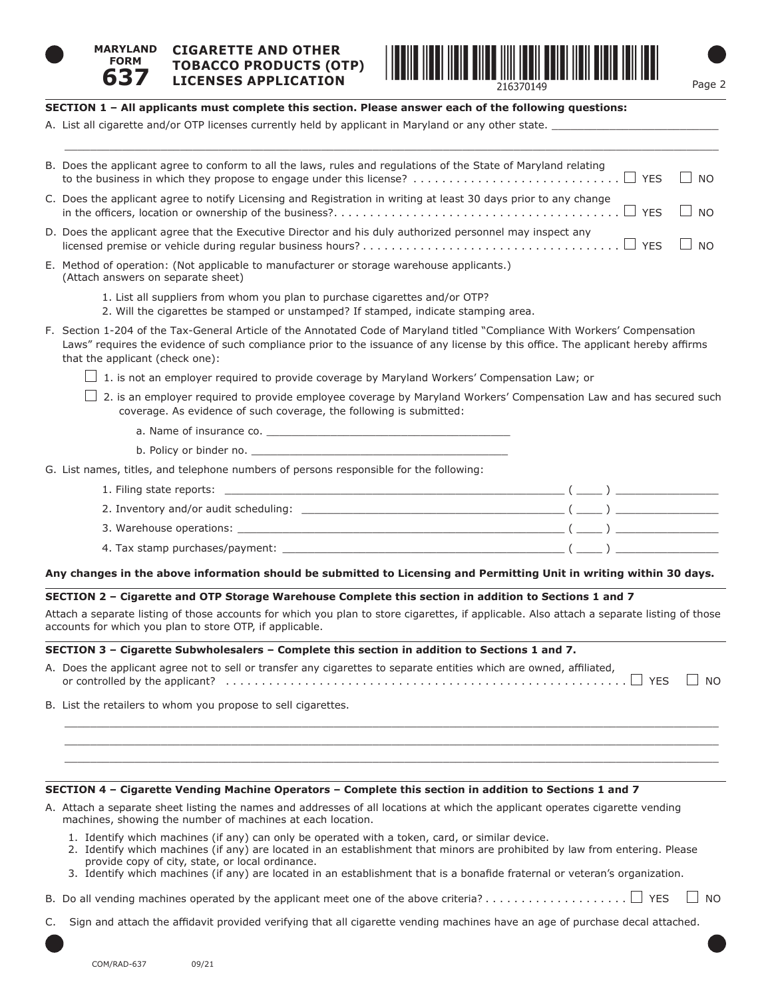

**637**

#### **MARYLAND FORM CIGARETTE AND OTHER TOBACCO PRODUCTS (OTP)**



# **SECTION 1 – All applicants must complete this section. Please answer each of the following questions:**

A. List all cigarette and/or OTP licenses currently held by applicant in Maryland or any other state.

| B. Does the applicant agree to conform to all the laws, rules and regulations of the State of Maryland relating                                                                                                                                                 | I I NO                      |
|-----------------------------------------------------------------------------------------------------------------------------------------------------------------------------------------------------------------------------------------------------------------|-----------------------------|
| C. Does the applicant agree to notify Licensing and Registration in writing at least 30 days prior to any change                                                                                                                                                | I I NO                      |
| D. Does the applicant agree that the Executive Director and his duly authorized personnel may inspect any<br>YFS                                                                                                                                                | $\overline{\phantom{0}}$ NO |
| E. Method of operation: (Not applicable to manufacturer or storage warehouse applicants.)<br>(Attach answers on separate sheet)                                                                                                                                 |                             |
| 1. List all suppliers from whom you plan to purchase cigarettes and/or OTP?<br>2. Will the cigarettes be stamped or unstamped? If stamped, indicate stamping area.                                                                                              |                             |
| F. Section 1-204 of the Tax-General Article of the Annotated Code of Maryland titled "Compliance With Workers' Compensation<br>Laws" requires the evidence of such compliance prior to the issuance of any license by this office. The applicant hereby affirms |                             |

that the applicant (check one):

- $\Box$  1. is not an employer required to provide coverage by Maryland Workers' Compensation Law; or
- $\Box$  2. is an employer required to provide employee coverage by Maryland Workers' Compensation Law and has secured such coverage. As evidence of such coverage, the following is submitted:
	- a. Name of insurance co. \_\_
	- b. Policy or binder no.
- G. List names, titles, and telephone numbers of persons responsible for the following:

| 1. Filing state reports:                                                                                                                                                                                                       |  |
|--------------------------------------------------------------------------------------------------------------------------------------------------------------------------------------------------------------------------------|--|
| 2. Inventory and/or audit scheduling: example and all the state of the state of the state of the state of the s                                                                                                                |  |
| 3. Warehouse operations: the contract of the contract of the contract of the contract of the contract of the contract of the contract of the contract of the contract of the contract of the contract of the contract of the c |  |
| 4. Tax stamp purchases/payment:                                                                                                                                                                                                |  |
|                                                                                                                                                                                                                                |  |

# **Any changes in the above information should be submitted to Licensing and Permitting Unit in writing within 30 days.**

# **SECTION 2 – Cigarette and OTP Storage Warehouse Complete this section in addition to Sections 1 and 7**

Attach a separate listing of those accounts for which you plan to store cigarettes, if applicable. Also attach a separate listing of those accounts for which you plan to store OTP, if applicable.

# **SECTION 3 – Cigarette Subwholesalers – Complete this section in addition to Sections 1 and 7.**

A. Does the applicant agree not to sell or transfer any cigarettes to separate entities which are owned, affiliated, or controlled by the applicant? . . YES NO

 $\_$  , and the set of the set of the set of the set of the set of the set of the set of the set of the set of the set of the set of the set of the set of the set of the set of the set of the set of the set of the set of th  $\_$  , and the set of the set of the set of the set of the set of the set of the set of the set of the set of the set of the set of the set of the set of the set of the set of the set of the set of the set of the set of th  $\_$  , and the set of the set of the set of the set of the set of the set of the set of the set of the set of the set of the set of the set of the set of the set of the set of the set of the set of the set of the set of th

B. List the retailers to whom you propose to sell cigarettes.

# **SECTION 4 – Cigarette Vending Machine Operators – Complete this section in addition to Sections 1 and 7**

- A. Attach a separate sheet listing the names and addresses of all locations at which the applicant operates cigarette vending machines, showing the number of machines at each location.
	- 1. Identify which machines (if any) can only be operated with a token, card, or similar device.
	- 2. Identify which machines (if any) are located in an establishment that minors are prohibited by law from entering. Please provide copy of city, state, or local ordinance.
	- 3. Identify which machines (if any) are located in an establishment that is a bonafide fraternal or veteran's organization.
- B. Do all vending machines operated by the applicant meet one of the above criteria?. . . YES NO
- C. Sign and attach the affidavit provided verifying that all cigarette vending machines have an age of purchase decal attached.